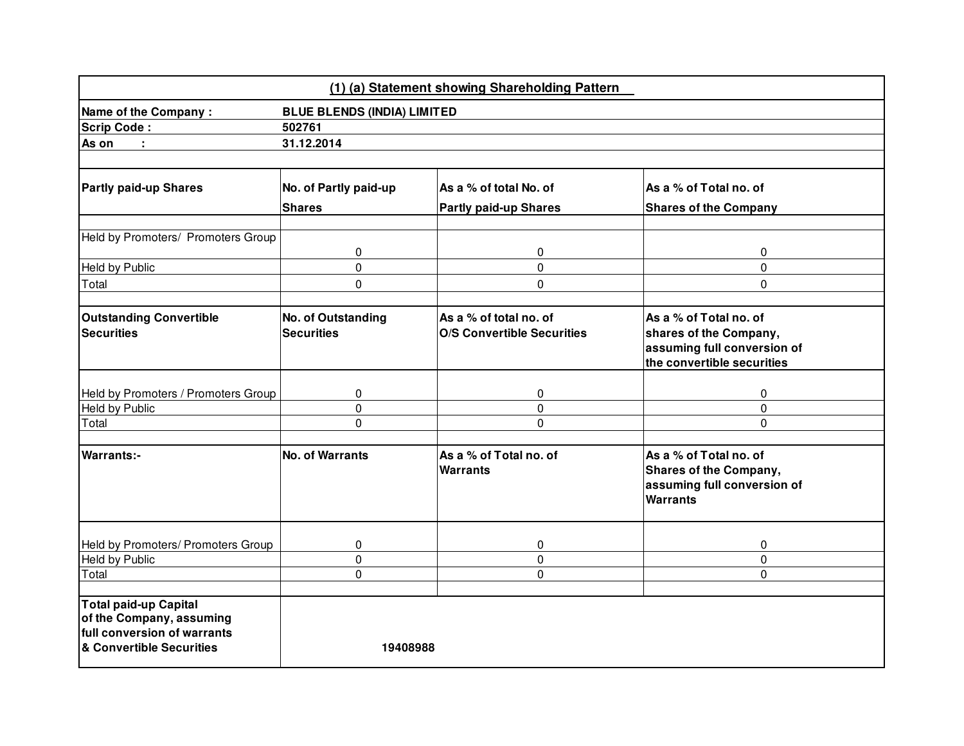|                                                                                                              |                                    | (1) (a) Statement showing Shareholding Pattern |                                                                                                    |  |  |  |
|--------------------------------------------------------------------------------------------------------------|------------------------------------|------------------------------------------------|----------------------------------------------------------------------------------------------------|--|--|--|
| Name of the Company:                                                                                         | <b>BLUE BLENDS (INDIA) LIMITED</b> |                                                |                                                                                                    |  |  |  |
| <b>Scrip Code:</b>                                                                                           | 502761                             |                                                |                                                                                                    |  |  |  |
| As on<br>÷.                                                                                                  | 31.12.2014                         |                                                |                                                                                                    |  |  |  |
|                                                                                                              |                                    |                                                |                                                                                                    |  |  |  |
| <b>Partly paid-up Shares</b>                                                                                 | No. of Partly paid-up              | As a % of total No. of                         | As a % of Total no. of                                                                             |  |  |  |
|                                                                                                              | <b>Shares</b>                      | <b>Partly paid-up Shares</b>                   | <b>Shares of the Company</b>                                                                       |  |  |  |
| Held by Promoters/ Promoters Group                                                                           |                                    |                                                |                                                                                                    |  |  |  |
|                                                                                                              | 0                                  | 0                                              | 0                                                                                                  |  |  |  |
| Held by Public                                                                                               | 0                                  | $\mathbf 0$                                    | 0                                                                                                  |  |  |  |
| Total                                                                                                        | 0                                  | $\mathbf 0$                                    | $\mathbf 0$                                                                                        |  |  |  |
|                                                                                                              |                                    |                                                |                                                                                                    |  |  |  |
| <b>Outstanding Convertible</b>                                                                               | No. of Outstanding                 | As a % of total no. of                         | As a % of Total no. of                                                                             |  |  |  |
| <b>Securities</b>                                                                                            | <b>Securities</b>                  | <b>O/S Convertible Securities</b>              | shares of the Company,                                                                             |  |  |  |
|                                                                                                              |                                    |                                                | assuming full conversion of                                                                        |  |  |  |
|                                                                                                              |                                    |                                                | the convertible securities                                                                         |  |  |  |
|                                                                                                              |                                    |                                                |                                                                                                    |  |  |  |
| Held by Promoters / Promoters Group                                                                          | 0<br>0                             | 0                                              | 0                                                                                                  |  |  |  |
| <b>Held by Public</b><br>Total                                                                               | 0                                  | 0<br>0                                         | $\mathbf 0$<br>$\Omega$                                                                            |  |  |  |
|                                                                                                              |                                    |                                                |                                                                                                    |  |  |  |
| <b>Warrants:-</b>                                                                                            | <b>No. of Warrants</b>             | As a % of Total no. of<br><b>Warrants</b>      | As a % of Total no. of<br>Shares of the Company,<br>assuming full conversion of<br><b>Warrants</b> |  |  |  |
| Held by Promoters/ Promoters Group                                                                           | 0                                  | 0                                              | 0                                                                                                  |  |  |  |
| <b>Held by Public</b>                                                                                        | 0                                  | 0                                              | 0                                                                                                  |  |  |  |
| Total                                                                                                        | 0                                  | $\mathbf 0$                                    | $\mathbf 0$                                                                                        |  |  |  |
| Total paid-up Capital<br>of the Company, assuming<br>full conversion of warrants<br>& Convertible Securities | 19408988                           |                                                |                                                                                                    |  |  |  |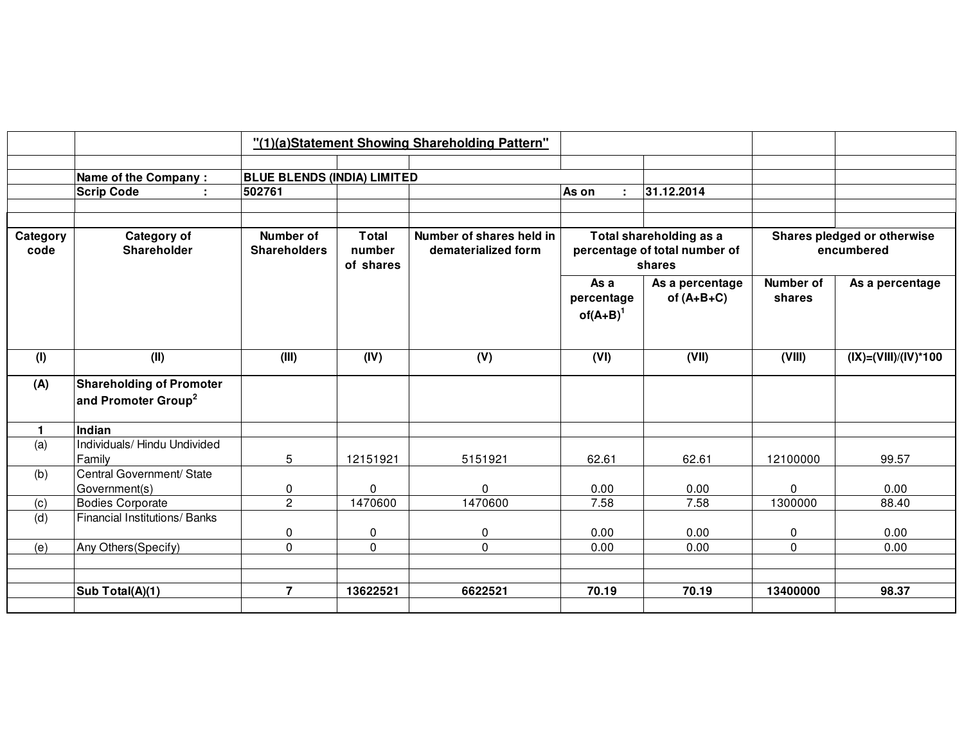|                  |                                                                    |                                    |                              | "(1)(a)Statement Showing Shareholding Pattern"  |                                   |                                                                    |                            |                                           |
|------------------|--------------------------------------------------------------------|------------------------------------|------------------------------|-------------------------------------------------|-----------------------------------|--------------------------------------------------------------------|----------------------------|-------------------------------------------|
|                  | <b>Name of the Company:</b>                                        | <b>BLUE BLENDS (INDIA) LIMITED</b> |                              |                                                 |                                   |                                                                    |                            |                                           |
|                  | <b>Scrip Code</b>                                                  | 502761                             |                              |                                                 | As on                             | 31.12.2014                                                         |                            |                                           |
|                  |                                                                    |                                    |                              |                                                 |                                   |                                                                    |                            |                                           |
| Category<br>code | Category of<br><b>Shareholder</b>                                  | Number of<br><b>Shareholders</b>   | Total<br>number<br>of shares | Number of shares held in<br>dematerialized form |                                   | Total shareholding as a<br>percentage of total number of<br>shares |                            | Shares pledged or otherwise<br>encumbered |
|                  |                                                                    |                                    |                              |                                                 | As a<br>percentage<br>$of(A+B)^1$ | As a percentage<br>of $(A+B+C)$                                    | <b>Number of</b><br>shares | As a percentage                           |
| (1)              | (II)                                                               | (III)                              | (IV)                         | (V)                                             | (VI)                              | (VII)                                                              | (VIII)                     | $(IX)=(VIII)/(IV)*100$                    |
| (A)              | <b>Shareholding of Promoter</b><br>and Promoter Group <sup>2</sup> |                                    |                              |                                                 |                                   |                                                                    |                            |                                           |
| $\blacksquare$   | Indian                                                             |                                    |                              |                                                 |                                   |                                                                    |                            |                                           |
| (a)              | Individuals/ Hindu Undivided<br>Family                             | 5                                  | 12151921                     | 5151921                                         | 62.61                             | 62.61                                                              | 12100000                   | 99.57                                     |
| (b)              | Central Government/ State<br>Government(s)                         | 0                                  | 0                            | $\Omega$                                        | 0.00                              | 0.00                                                               | 0                          | 0.00                                      |
| (c)              | <b>Bodies Corporate</b>                                            | $\overline{2}$                     | 1470600                      | 1470600                                         | 7.58                              | 7.58                                                               | 1300000                    | 88.40                                     |
| (d)              | Financial Institutions/ Banks                                      | 0                                  | 0                            | $\pmb{0}$                                       | 0.00                              | 0.00                                                               | 0                          | 0.00                                      |
| (e)              | Any Others (Specify)                                               | $\overline{0}$                     | $\Omega$                     | $\Omega$                                        | 0.00                              | 0.00                                                               | 0                          | 0.00                                      |
|                  |                                                                    |                                    |                              |                                                 |                                   |                                                                    |                            |                                           |
|                  |                                                                    |                                    |                              |                                                 |                                   |                                                                    |                            |                                           |
|                  | Sub Total(A)(1)                                                    | $\overline{7}$                     | 13622521                     | 6622521                                         | 70.19                             | 70.19                                                              | 13400000                   | 98.37                                     |
|                  |                                                                    |                                    |                              |                                                 |                                   |                                                                    |                            |                                           |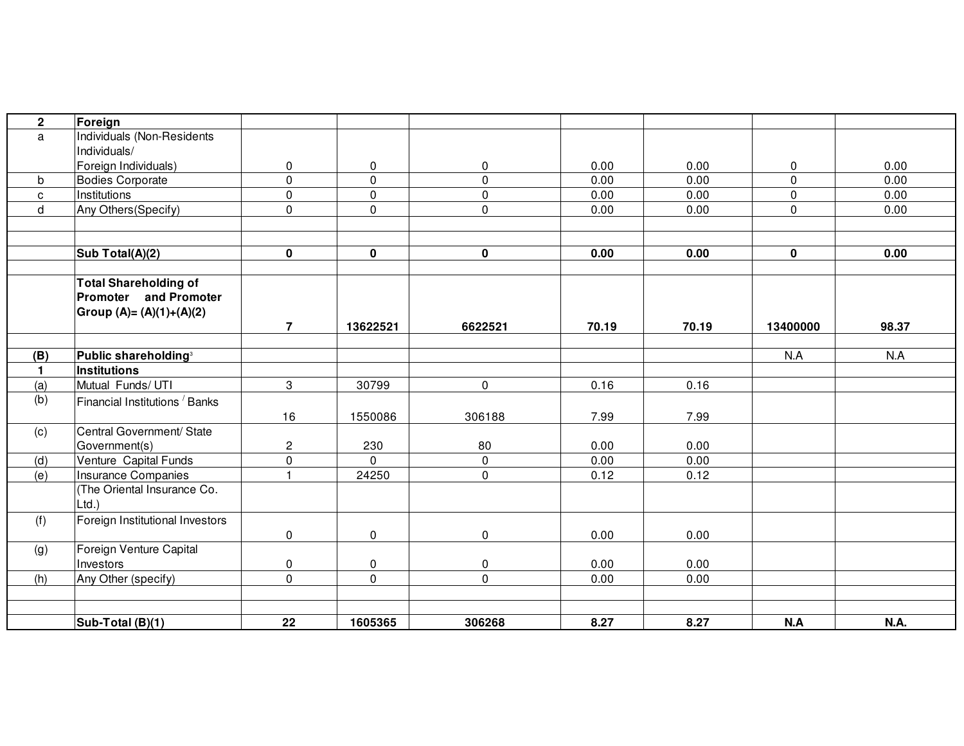| $\mathbf{2}$ | Foreign                                   |                |             |              |       |       |             |       |
|--------------|-------------------------------------------|----------------|-------------|--------------|-------|-------|-------------|-------|
| a            | Individuals (Non-Residents                |                |             |              |       |       |             |       |
|              | Individuals/                              |                |             |              |       |       |             |       |
|              | Foreign Individuals)                      | $\mathbf 0$    | 0           | $\mathbf 0$  | 0.00  | 0.00  | $\mathbf 0$ | 0.00  |
| b            | <b>Bodies Corporate</b>                   | $\mathbf 0$    | $\mathbf 0$ | $\mathbf{0}$ | 0.00  | 0.00  | $\mathbf 0$ | 0.00  |
| c            | Institutions                              | $\mathbf 0$    | $\pmb{0}$   | $\mathbf 0$  | 0.00  | 0.00  | 0           | 0.00  |
| d            | Any Others (Specify)                      | $\mathsf{O}$   | 0           | $\mathbf 0$  | 0.00  | 0.00  | $\mathbf 0$ | 0.00  |
|              |                                           |                |             |              |       |       |             |       |
|              |                                           |                |             |              |       |       |             |       |
|              | Sub Total(A)(2)                           | $\mathbf 0$    | 0           | 0            | 0.00  | 0.00  | $\mathbf 0$ | 0.00  |
|              | <b>Total Shareholding of</b>              |                |             |              |       |       |             |       |
|              | <b>Promoter</b> and Promoter              |                |             |              |       |       |             |       |
|              | Group (A)= (A)(1)+(A)(2)                  |                |             |              |       |       |             |       |
|              |                                           | $\overline{7}$ | 13622521    | 6622521      | 70.19 | 70.19 | 13400000    | 98.37 |
|              |                                           |                |             |              |       |       |             |       |
| (B)          | Public shareholding <sup>3</sup>          |                |             |              |       |       | N.A         | N.A   |
| $\mathbf{1}$ | Institutions                              |                |             |              |       |       |             |       |
| (a)          | Mutual Funds/ UTI                         | 3              | 30799       | $\mathbf 0$  | 0.16  | 0.16  |             |       |
| (b)          | Financial Institutions <sup>/</sup> Banks |                |             |              |       |       |             |       |
|              |                                           | 16             | 1550086     | 306188       | 7.99  | 7.99  |             |       |
| (c)          | Central Government/ State                 |                |             |              |       |       |             |       |
|              | Government(s)                             | $\overline{c}$ | 230         | 80           | 0.00  | 0.00  |             |       |
| (d)          | Venture Capital Funds                     | $\mathbf 0$    | $\mathbf 0$ | $\mathbf 0$  | 0.00  | 0.00  |             |       |
| (e)          | <b>Insurance Companies</b>                | $\mathbf{1}$   | 24250       | $\mathbf 0$  | 0.12  | 0.12  |             |       |
|              | (The Oriental Insurance Co.               |                |             |              |       |       |             |       |
|              | $Ltd.$ )                                  |                |             |              |       |       |             |       |
| (f)          | Foreign Institutional Investors           |                |             |              |       |       |             |       |
|              |                                           | $\mathbf 0$    | 0           | $\mathbf 0$  | 0.00  | 0.00  |             |       |
| (g)          | Foreign Venture Capital                   |                |             |              |       |       |             |       |
|              | Investors                                 | 0              | 0           | $\mathbf 0$  | 0.00  | 0.00  |             |       |
| (h)          | Any Other (specify)                       | $\mathbf 0$    | $\mathbf 0$ | $\mathbf{0}$ | 0.00  | 0.00  |             |       |
|              |                                           |                |             |              |       |       |             |       |
|              |                                           |                |             |              |       |       |             |       |
|              | Sub-Total (B)(1)                          | 22             | 1605365     | 306268       | 8.27  | 8.27  | N.A         | N.A.  |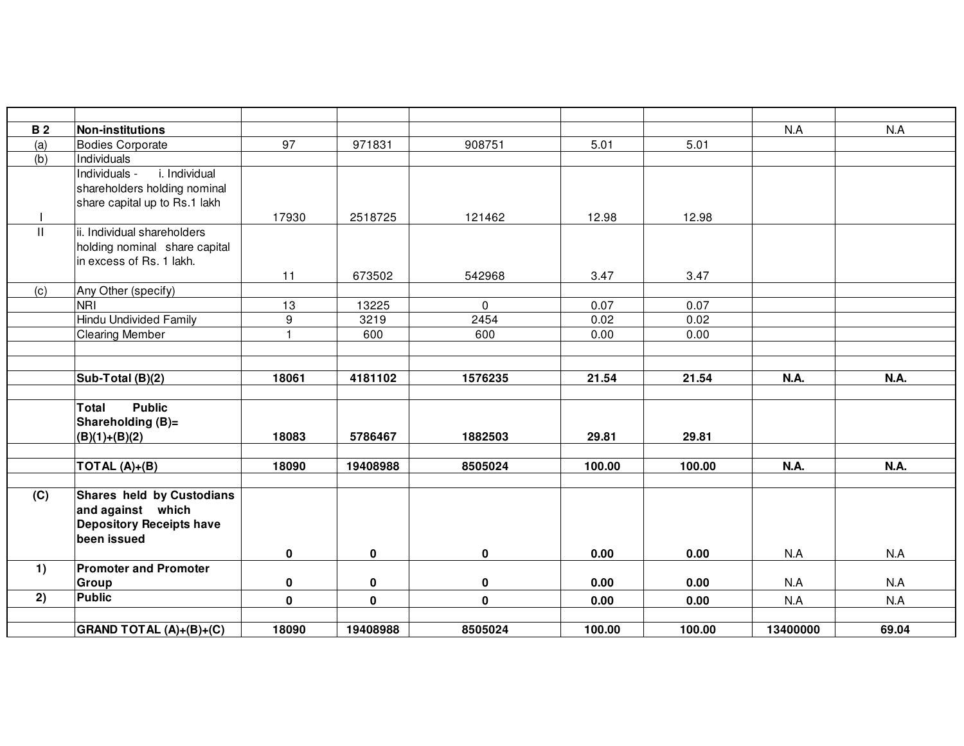| <b>B2</b> | <b>Non-institutions</b>          |                |             |             |        |        | N.A         | N.A   |
|-----------|----------------------------------|----------------|-------------|-------------|--------|--------|-------------|-------|
| (a)       | <b>Bodies Corporate</b>          | 97             | 971831      | 908751      | 5.01   | 5.01   |             |       |
| (b)       | Individuals                      |                |             |             |        |        |             |       |
|           | i. Individual<br>Individuals -   |                |             |             |        |        |             |       |
|           | shareholders holding nominal     |                |             |             |        |        |             |       |
|           | share capital up to Rs.1 lakh    |                |             |             |        |        |             |       |
|           |                                  | 17930          | 2518725     | 121462      | 12.98  | 12.98  |             |       |
| Ш.        | ii. Individual shareholders      |                |             |             |        |        |             |       |
|           | holding nominal share capital    |                |             |             |        |        |             |       |
|           | in excess of Rs. 1 lakh.         |                |             |             |        |        |             |       |
|           |                                  | 11             | 673502      | 542968      | 3.47   | 3.47   |             |       |
| (c)       | Any Other (specify)              |                |             |             |        |        |             |       |
|           | <b>NRI</b>                       | 13             | 13225       | $\mathbf 0$ | 0.07   | 0.07   |             |       |
|           | <b>Hindu Undivided Family</b>    | 9              | 3219        | 2454        | 0.02   | 0.02   |             |       |
|           | <b>Clearing Member</b>           | $\overline{1}$ | 600         | 600         | 0.00   | 0.00   |             |       |
|           |                                  |                |             |             |        |        |             |       |
|           |                                  |                |             |             |        |        |             |       |
|           | Sub-Total (B)(2)                 | 18061          | 4181102     | 1576235     | 21.54  | 21.54  | <b>N.A.</b> | N.A.  |
|           |                                  |                |             |             |        |        |             |       |
|           | <b>Public</b><br>Total           |                |             |             |        |        |             |       |
|           | Shareholding (B)=                |                |             |             |        |        |             |       |
|           | $(B)(1)+(B)(2)$                  | 18083          | 5786467     | 1882503     | 29.81  | 29.81  |             |       |
|           |                                  |                |             |             |        |        |             |       |
|           | TOTAL $(A)+(B)$                  | 18090          | 19408988    | 8505024     | 100.00 | 100.00 | N.A.        | N.A.  |
|           |                                  |                |             |             |        |        |             |       |
| (C)       | <b>Shares held by Custodians</b> |                |             |             |        |        |             |       |
|           | and against which                |                |             |             |        |        |             |       |
|           | <b>Depository Receipts have</b>  |                |             |             |        |        |             |       |
|           | been issued                      |                |             |             |        |        |             |       |
|           |                                  | $\mathbf 0$    | $\mathbf 0$ | $\pmb{0}$   | 0.00   | 0.00   | N.A         | N.A   |
| 1)        | <b>Promoter and Promoter</b>     |                |             |             |        |        |             |       |
|           | Group                            | $\pmb{0}$      | 0           | $\mathbf 0$ | 0.00   | 0.00   | N.A         | N.A   |
| 2)        | <b>Public</b>                    | $\pmb{0}$      | $\pmb{0}$   | $\pmb{0}$   | 0.00   | 0.00   | N.A         | N.A   |
|           |                                  |                |             |             |        |        |             |       |
|           | GRAND TOTAL (A)+(B)+(C)          | 18090          | 19408988    | 8505024     | 100.00 | 100.00 | 13400000    | 69.04 |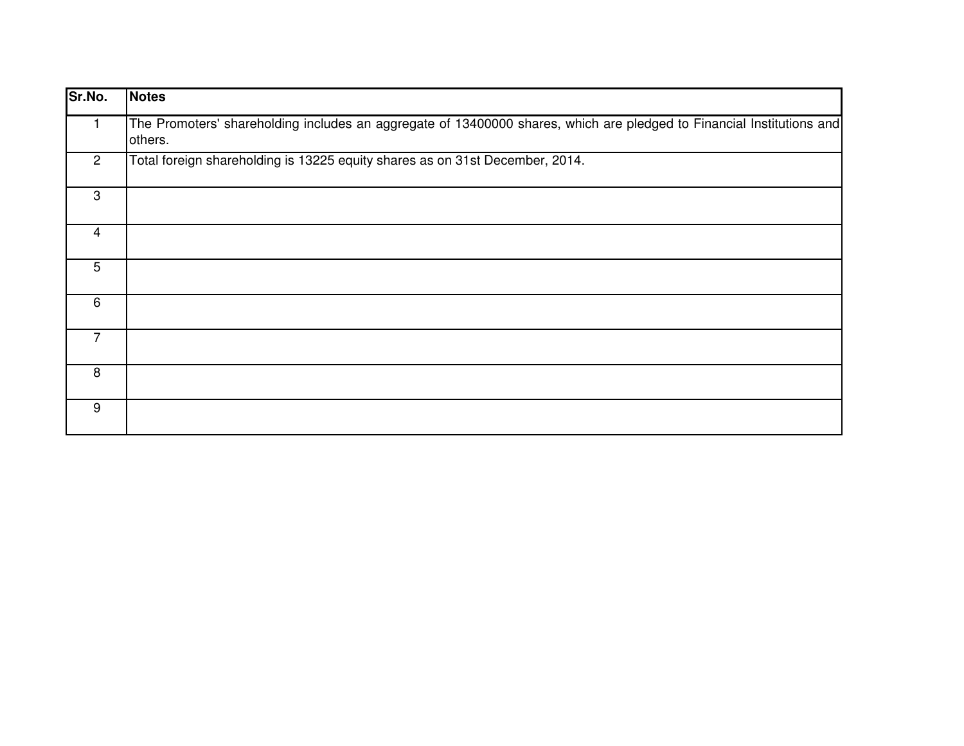| Sr.No.         | Notes                                                                                                                            |
|----------------|----------------------------------------------------------------------------------------------------------------------------------|
|                | The Promoters' shareholding includes an aggregate of 13400000 shares, which are pledged to Financial Institutions and<br>others. |
| $\overline{2}$ | Total foreign shareholding is 13225 equity shares as on 31st December, 2014.                                                     |
| 3              |                                                                                                                                  |
| 4              |                                                                                                                                  |
| 5              |                                                                                                                                  |
| 6              |                                                                                                                                  |
| 7              |                                                                                                                                  |
| 8              |                                                                                                                                  |
| 9              |                                                                                                                                  |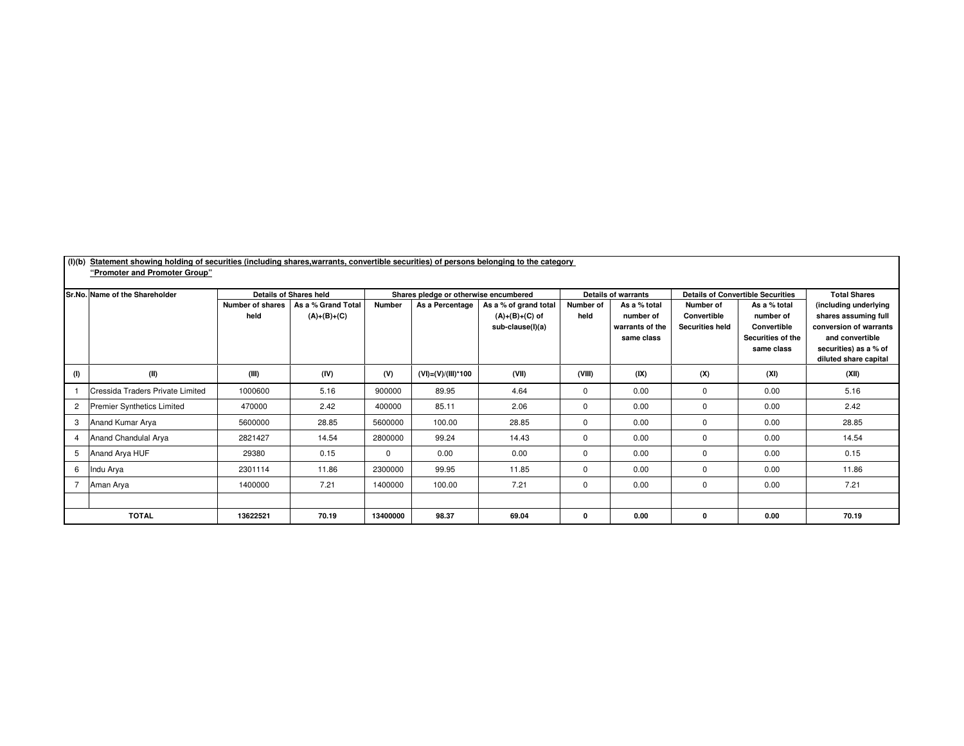| (I)(b)         | Statement showing holding of securities (including shares,warrants, convertible securities) of persons belonging to the category |                  |                                                     |                                                                                                    |                         |                  |                                                         |                               |                                                                       |                                  |                                                |
|----------------|----------------------------------------------------------------------------------------------------------------------------------|------------------|-----------------------------------------------------|----------------------------------------------------------------------------------------------------|-------------------------|------------------|---------------------------------------------------------|-------------------------------|-----------------------------------------------------------------------|----------------------------------|------------------------------------------------|
|                | "Promoter and Promoter Group"                                                                                                    |                  |                                                     |                                                                                                    |                         |                  |                                                         |                               |                                                                       |                                  |                                                |
|                | Sr.No. Name of the Shareholder                                                                                                   | Number of shares | <b>Details of Shares held</b><br>As a % Grand Total | Shares pledge or otherwise encumbered<br><b>Number</b><br>As a Percentage<br>As a % of grand total |                         |                  | <b>Details of warrants</b><br>Number of<br>As a % total |                               | <b>Details of Convertible Securities</b><br>Number of<br>As a % total |                                  | <b>Total Shares</b><br>(including underlying   |
|                |                                                                                                                                  | held             | $(A)+(B)+(C)$                                       |                                                                                                    |                         | $(A)+(B)+(C)$ of | held                                                    | number of                     | Convertible                                                           | number of                        | shares assuming full                           |
|                |                                                                                                                                  |                  |                                                     |                                                                                                    |                         | sub-clause(I)(a) |                                                         | warrants of the<br>same class | <b>Securities held</b>                                                | Convertible<br>Securities of the | conversion of warrants<br>and convertible      |
|                |                                                                                                                                  |                  |                                                     |                                                                                                    |                         |                  |                                                         |                               |                                                                       | same class                       | securities) as a % of<br>diluted share capital |
| (1)            | (II)                                                                                                                             | (III)            | (IV)                                                | (V)                                                                                                | $(VI) = (V)/(III)^*100$ | (VII)            | (VIII)                                                  | (IX)                          | (X)                                                                   | (XI)                             | (XII)                                          |
|                | Cressida Traders Private Limited                                                                                                 | 1000600          | 5.16                                                | 900000                                                                                             | 89.95                   | 4.64             | $\mathbf 0$                                             | 0.00                          | $\mathbf 0$                                                           | 0.00                             | 5.16                                           |
| $\overline{2}$ | <b>Premier Synthetics Limited</b>                                                                                                | 470000           | 2.42                                                | 400000                                                                                             | 85.11                   | 2.06             | $\mathbf 0$                                             | 0.00                          | $\mathbf 0$                                                           | 0.00                             | 2.42                                           |
| 3              | Anand Kumar Arya                                                                                                                 | 5600000          | 28.85                                               | 5600000                                                                                            | 100.00                  | 28.85            | $\Omega$                                                | 0.00                          | $\mathbf 0$                                                           | 0.00                             | 28.85                                          |
| $\overline{4}$ | Anand Chandulal Arya                                                                                                             | 2821427          | 14.54                                               | 2800000                                                                                            | 99.24                   | 14.43            | $\mathbf 0$                                             | 0.00                          | $\mathbf 0$                                                           | 0.00                             | 14.54                                          |
| 5              | Anand Arya HUF                                                                                                                   | 29380            | 0.15                                                | $\mathbf 0$                                                                                        | 0.00                    | 0.00             | $\mathbf 0$                                             | 0.00                          | $\mathbf 0$                                                           | 0.00                             | 0.15                                           |
| 6              | Indu Arya                                                                                                                        | 2301114          | 11.86                                               | 2300000                                                                                            | 99.95                   | 11.85            | $\mathbf 0$                                             | 0.00                          | $\mathbf 0$                                                           | 0.00                             | 11.86                                          |
|                | Aman Arya                                                                                                                        | 1400000          | 7.21                                                | 1400000                                                                                            | 100.00                  | 7.21             | $\mathbf 0$                                             | 0.00                          | 0                                                                     | 0.00                             | 7.21                                           |
|                |                                                                                                                                  |                  |                                                     |                                                                                                    |                         |                  |                                                         |                               |                                                                       |                                  |                                                |
|                | <b>TOTAL</b>                                                                                                                     | 13622521         | 70.19                                               | 13400000                                                                                           | 98.37                   | 69.04            | 0                                                       | 0.00                          | $\mathbf 0$                                                           | 0.00                             | 70.19                                          |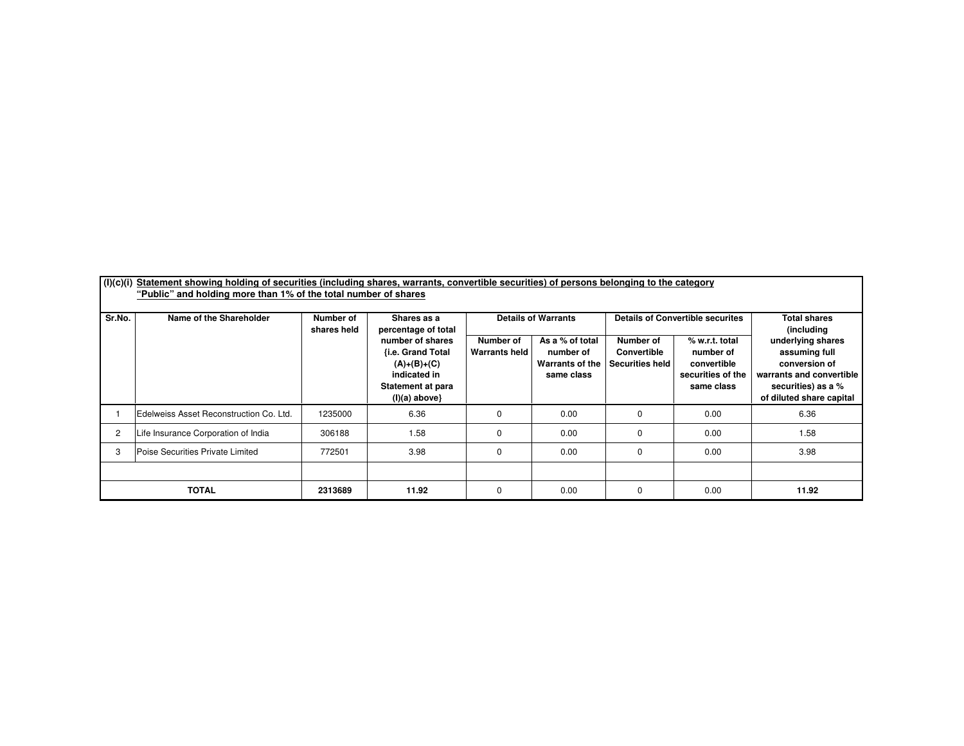| (1)(c)(i)      | Statement showing holding of securities (including shares, warrants, convertible securities) of persons belonging to the category<br>"Public" and holding more than 1% of the total number of shares |                                         |                                                                                                                                       |                            |                                                               |                                                           |                                                                               |                                                                                                                                   |
|----------------|------------------------------------------------------------------------------------------------------------------------------------------------------------------------------------------------------|-----------------------------------------|---------------------------------------------------------------------------------------------------------------------------------------|----------------------------|---------------------------------------------------------------|-----------------------------------------------------------|-------------------------------------------------------------------------------|-----------------------------------------------------------------------------------------------------------------------------------|
| Sr.No.         | Name of the Shareholder                                                                                                                                                                              | Number of<br>Shares as a<br>shares held |                                                                                                                                       |                            | <b>Details of Warrants</b>                                    |                                                           | <b>Details of Convertible securites</b>                                       | <b>Total shares</b><br>(including                                                                                                 |
|                |                                                                                                                                                                                                      |                                         | percentage of total<br>number of shares<br>{i.e. Grand Total<br>$(A)+(B)+(C)$<br>indicated in<br>Statement at para<br>$(I)(a)$ above} | Number of<br>Warrants held | As a % of total<br>number of<br>Warrants of the<br>same class | Number of<br><b>Convertible</b><br><b>Securities held</b> | % w.r.t. total<br>number of<br>convertible<br>securities of the<br>same class | underlying shares<br>assuming full<br>conversion of<br>warrants and convertible<br>securities) as a %<br>of diluted share capital |
|                | Edelweiss Asset Reconstruction Co. Ltd.                                                                                                                                                              | 1235000                                 | 6.36                                                                                                                                  | 0                          | 0.00                                                          | 0                                                         | 0.00                                                                          | 6.36                                                                                                                              |
| $\overline{2}$ | Life Insurance Corporation of India                                                                                                                                                                  | 306188                                  | 1.58                                                                                                                                  |                            | 0.00                                                          | 0                                                         | 0.00                                                                          | 1.58                                                                                                                              |
| 3              | Poise Securities Private Limited                                                                                                                                                                     | 772501                                  | 3.98                                                                                                                                  | $\Omega$                   | 0.00                                                          | 0                                                         | 0.00                                                                          | 3.98                                                                                                                              |
|                |                                                                                                                                                                                                      |                                         |                                                                                                                                       |                            |                                                               |                                                           |                                                                               |                                                                                                                                   |
|                | TOTAL                                                                                                                                                                                                | 2313689                                 | 11.92                                                                                                                                 | $\Omega$                   | 0.00                                                          | 0                                                         | 0.00                                                                          | 11.92                                                                                                                             |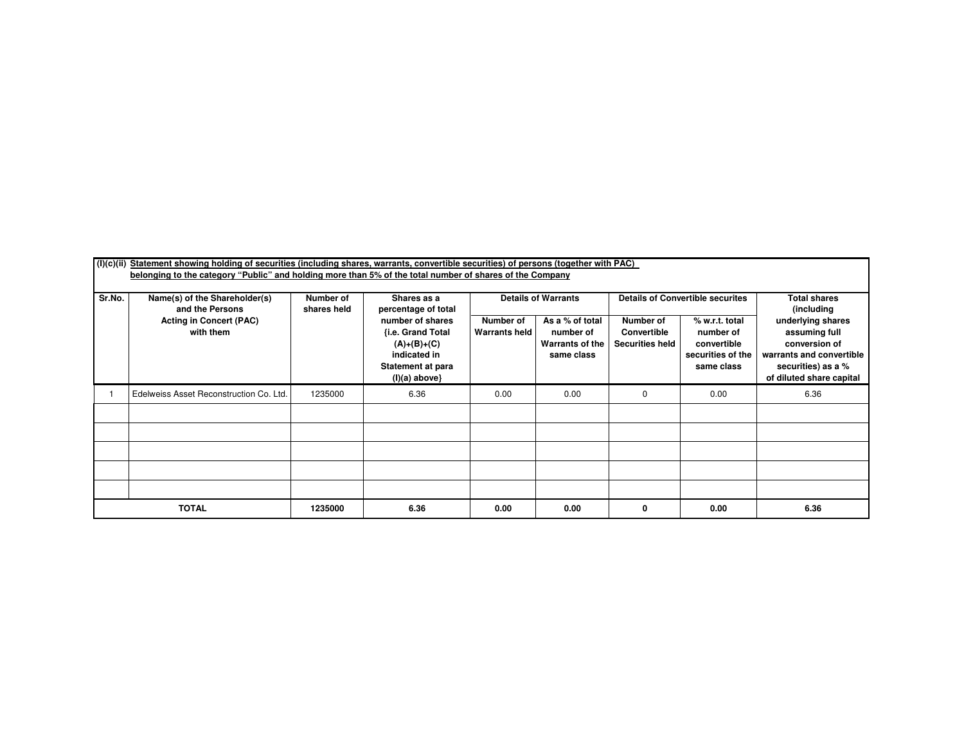| (I)(c)(ii) | Statement showing holding of securities (including shares, warrants, convertible securities) of persons (together with PAC) |                                                                |                                                                                                                |                                   |                                                                      |                                                    |                                                                               |                                                                                                                                   |
|------------|-----------------------------------------------------------------------------------------------------------------------------|----------------------------------------------------------------|----------------------------------------------------------------------------------------------------------------|-----------------------------------|----------------------------------------------------------------------|----------------------------------------------------|-------------------------------------------------------------------------------|-----------------------------------------------------------------------------------------------------------------------------------|
|            | belonging to the category "Public" and holding more than 5% of the total number of shares of the Company                    |                                                                |                                                                                                                |                                   |                                                                      |                                                    |                                                                               |                                                                                                                                   |
| Sr.No.     | Name(s) of the Shareholder(s)<br>and the Persons                                                                            | Number of<br>Shares as a<br>shares held<br>percentage of total |                                                                                                                |                                   | <b>Details of Warrants</b>                                           |                                                    | <b>Details of Convertible securites</b>                                       | <b>Total shares</b><br>(including                                                                                                 |
|            | <b>Acting in Concert (PAC)</b><br>with them                                                                                 |                                                                | number of shares<br>{i.e. Grand Total<br>$(A)+(B)+(C)$<br>indicated in<br>Statement at para<br>$(I)(a)$ above} | Number of<br><b>Warrants held</b> | As a % of total<br>number of<br><b>Warrants of the</b><br>same class | Number of<br>Convertible<br><b>Securities held</b> | % w.r.t. total<br>number of<br>convertible<br>securities of the<br>same class | underlying shares<br>assuming full<br>conversion of<br>warrants and convertible<br>securities) as a %<br>of diluted share capital |
|            | Edelweiss Asset Reconstruction Co. Ltd.                                                                                     | 1235000                                                        | 6.36                                                                                                           | 0.00                              | 0.00                                                                 | 0                                                  | 0.00                                                                          | 6.36                                                                                                                              |
|            |                                                                                                                             |                                                                |                                                                                                                |                                   |                                                                      |                                                    |                                                                               |                                                                                                                                   |
|            |                                                                                                                             |                                                                |                                                                                                                |                                   |                                                                      |                                                    |                                                                               |                                                                                                                                   |
|            |                                                                                                                             |                                                                |                                                                                                                |                                   |                                                                      |                                                    |                                                                               |                                                                                                                                   |
|            |                                                                                                                             |                                                                |                                                                                                                |                                   |                                                                      |                                                    |                                                                               |                                                                                                                                   |
|            |                                                                                                                             |                                                                |                                                                                                                |                                   |                                                                      |                                                    |                                                                               |                                                                                                                                   |
|            | <b>TOTAL</b>                                                                                                                | 1235000                                                        | 6.36                                                                                                           | 0.00                              | 0.00                                                                 | 0                                                  | 0.00                                                                          | 6.36                                                                                                                              |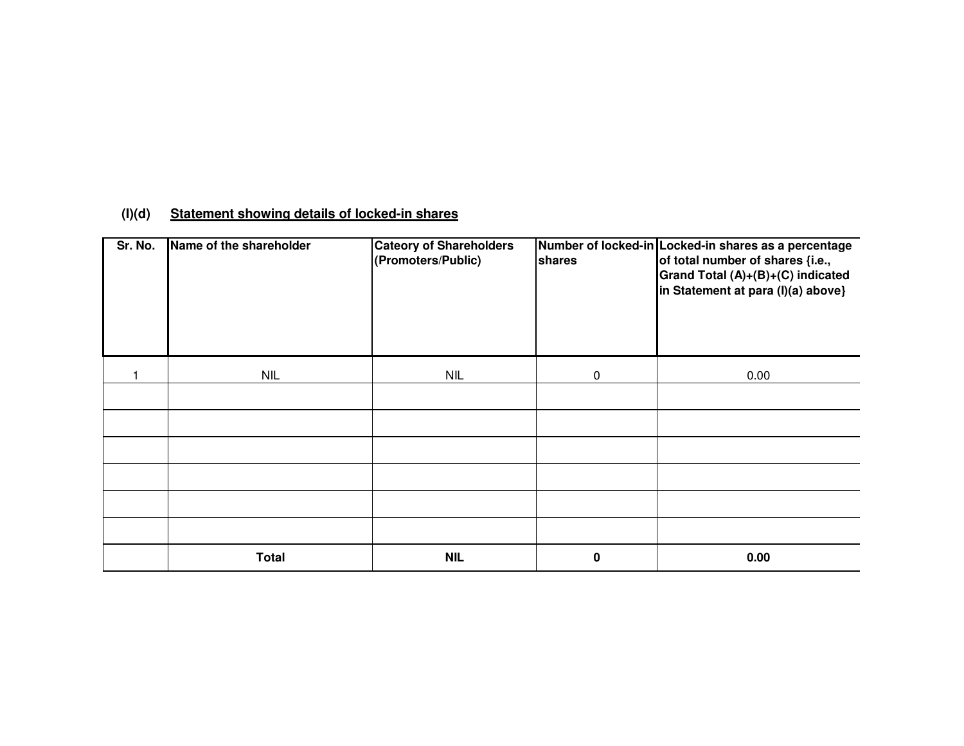## **(I)(d)Statement showing details of locked-in shares**

| Sr. No. | Name of the shareholder | <b>Cateory of Shareholders</b><br>(Promoters/Public) | shares    | Number of locked-in Locked-in shares as a percentage<br>of total number of shares {i.e.,<br>Grand Total (A)+(B)+(C) indicated<br>in Statement at para (I)(a) above} |
|---------|-------------------------|------------------------------------------------------|-----------|---------------------------------------------------------------------------------------------------------------------------------------------------------------------|
|         | <b>NIL</b>              | <b>NIL</b>                                           | $\pmb{0}$ | 0.00                                                                                                                                                                |
|         |                         |                                                      |           |                                                                                                                                                                     |
|         |                         |                                                      |           |                                                                                                                                                                     |
|         |                         |                                                      |           |                                                                                                                                                                     |
|         |                         |                                                      |           |                                                                                                                                                                     |
|         |                         |                                                      |           |                                                                                                                                                                     |
|         |                         |                                                      |           |                                                                                                                                                                     |
|         | <b>Total</b>            | <b>NIL</b>                                           | 0         | 0.00                                                                                                                                                                |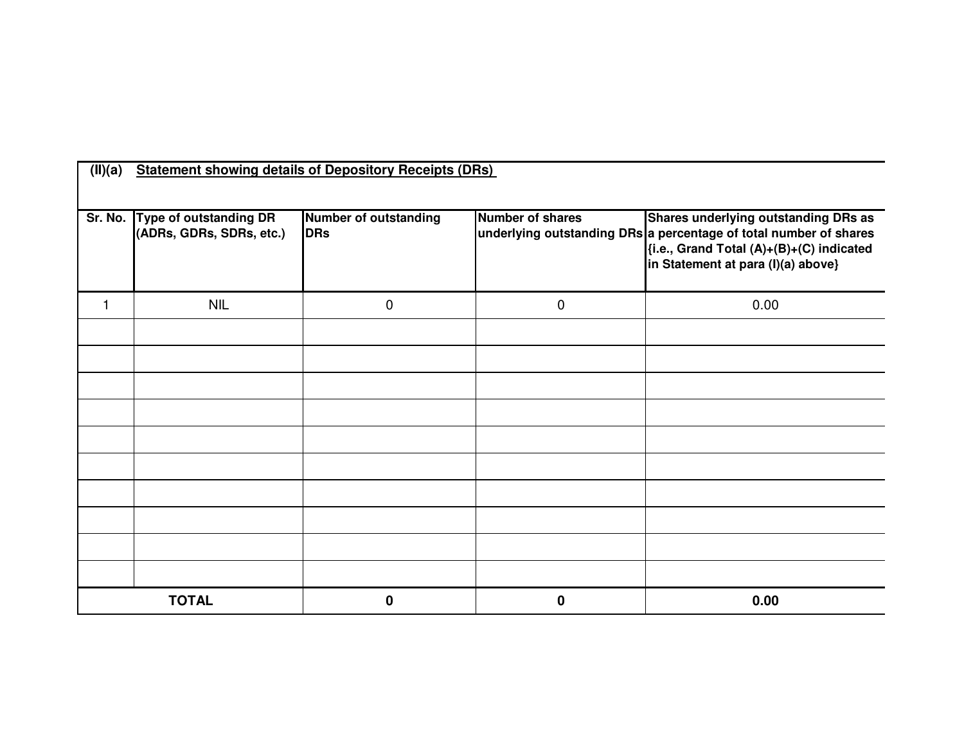| (II)(a)        |                                                    | <b>Statement showing details of Depository Receipts (DRs)</b> |                  |                                                                                                                                                                                                    |
|----------------|----------------------------------------------------|---------------------------------------------------------------|------------------|----------------------------------------------------------------------------------------------------------------------------------------------------------------------------------------------------|
|                |                                                    |                                                               |                  |                                                                                                                                                                                                    |
| Sr. No.        | Type of outstanding DR<br>(ADRs, GDRs, SDRs, etc.) | Number of outstanding<br>DRs                                  | Number of shares | <b>Shares underlying outstanding DRs as</b><br>underlying outstanding DRs a percentage of total number of shares<br>{i.e., Grand Total (A)+(B)+(C) indicated<br>in Statement at para (I)(a) above} |
| $\overline{1}$ | <b>NIL</b>                                         | $\pmb{0}$                                                     | $\mathbf 0$      | 0.00                                                                                                                                                                                               |
|                |                                                    |                                                               |                  |                                                                                                                                                                                                    |
|                |                                                    |                                                               |                  |                                                                                                                                                                                                    |
|                |                                                    |                                                               |                  |                                                                                                                                                                                                    |
|                |                                                    |                                                               |                  |                                                                                                                                                                                                    |
|                |                                                    |                                                               |                  |                                                                                                                                                                                                    |
|                |                                                    |                                                               |                  |                                                                                                                                                                                                    |
|                |                                                    |                                                               |                  |                                                                                                                                                                                                    |
|                |                                                    |                                                               |                  |                                                                                                                                                                                                    |
|                |                                                    |                                                               |                  |                                                                                                                                                                                                    |
|                | <b>TOTAL</b>                                       | 0                                                             | $\mathbf 0$      | 0.00                                                                                                                                                                                               |